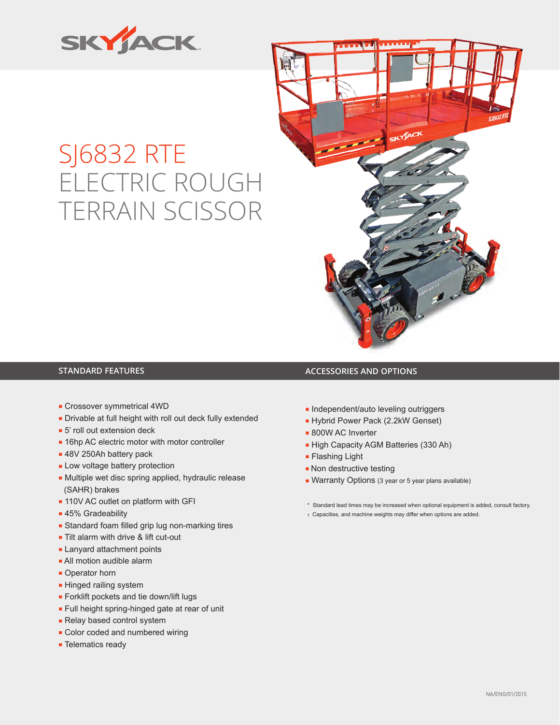

## SJ6832 RTE ELECTRIC ROUGH TERRAIN SCISSOR



## **STANDARD FEATURES ACCESSORIES AND OPTIONS**

- Crossover symmetrical 4WD
- Drivable at full height with roll out deck fully extended
- 5' roll out extension deck
- 16hp AC electric motor with motor controller
- 48V 250Ah battery pack
- Low voltage battery protection
- Multiple wet disc spring applied, hydraulic release (SAHR) brakes
- 110V AC outlet on platform with GFI
- 45% Gradeability
- Standard foam filled grip lug non-marking tires
- Tilt alarm with drive & lift cut-out
- Lanyard attachment points
- All motion audible alarm
- Operator horn
- Hinged railing system
- Forklift pockets and tie down/lift lugs
- Full height spring-hinged gate at rear of unit
- Relay based control system
- Color coded and numbered wiring
- Telematics ready
- Independent/auto leveling outriggers
- Hybrid Power Pack (2.2kW Genset)
- 800W AC Inverter
- High Capacity AGM Batteries (330 Ah)
- Flashing Light
- Non destructive testing
- Warranty Options (3 year or 5 year plans available)
- \* Standard lead times may be increased when optional equipment is added, consult factory.
- † Capacities, and machine weights may differ when options are added.